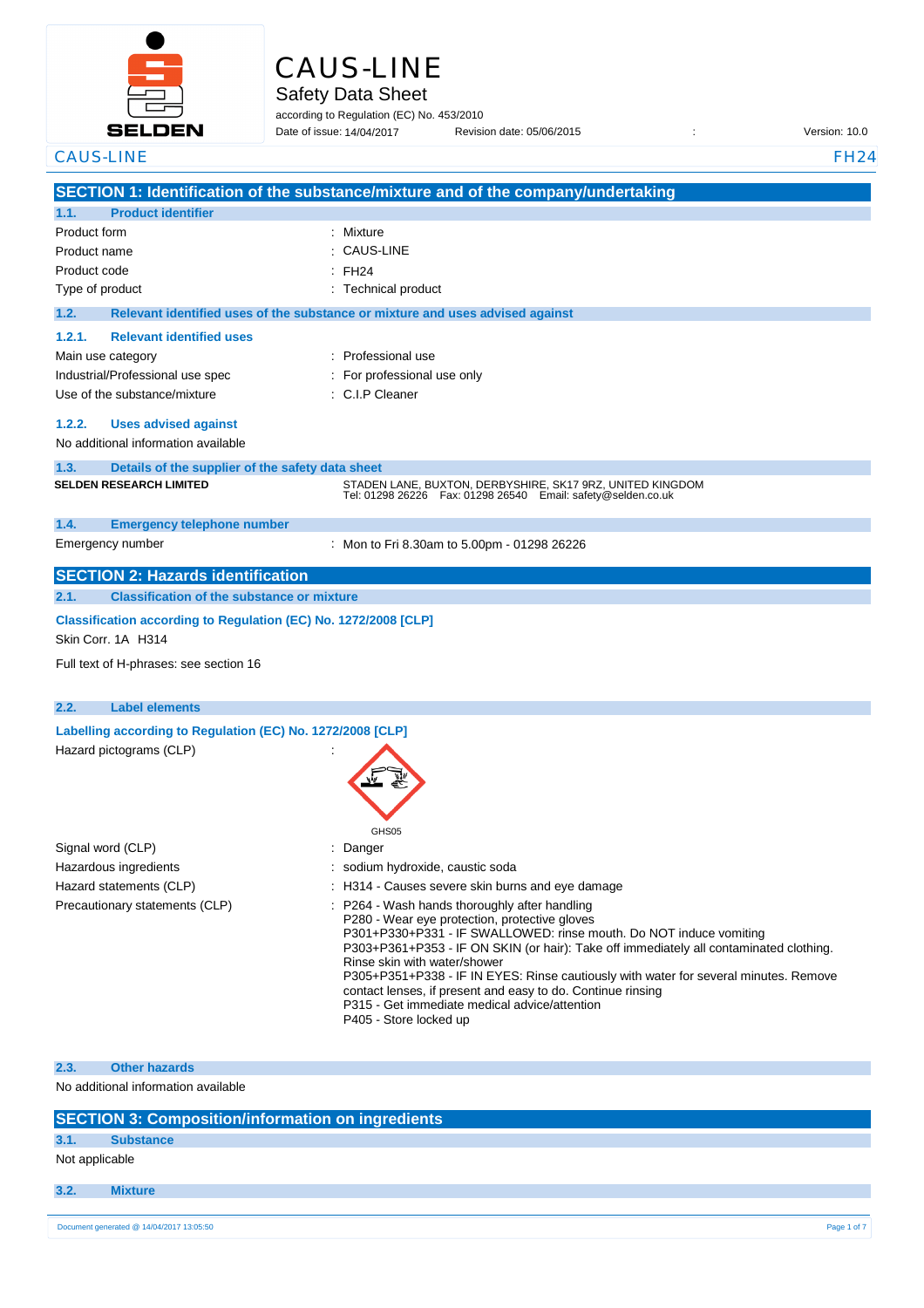

## CAUS-LINE

Safety Data Sheet

according to Regulation (EC) No. 453/2010 Date of issue: 14/04/2017

Date of issue: Revision date: 05/06/2015 : Version: 10.0

| <b>CAUS-LINE</b>                                                                      |                                                            |                                                                                                                                                                                                                                                                                                                                                                                                                                                                                                                                  | <b>FH24</b> |
|---------------------------------------------------------------------------------------|------------------------------------------------------------|----------------------------------------------------------------------------------------------------------------------------------------------------------------------------------------------------------------------------------------------------------------------------------------------------------------------------------------------------------------------------------------------------------------------------------------------------------------------------------------------------------------------------------|-------------|
|                                                                                       |                                                            | SECTION 1: Identification of the substance/mixture and of the company/undertaking                                                                                                                                                                                                                                                                                                                                                                                                                                                |             |
| 1.1.                                                                                  | <b>Product identifier</b>                                  |                                                                                                                                                                                                                                                                                                                                                                                                                                                                                                                                  |             |
| Product form                                                                          |                                                            | : Mixture                                                                                                                                                                                                                                                                                                                                                                                                                                                                                                                        |             |
| Product name                                                                          |                                                            | <b>CAUS-LINE</b>                                                                                                                                                                                                                                                                                                                                                                                                                                                                                                                 |             |
| Product code                                                                          |                                                            | <b>FH24</b>                                                                                                                                                                                                                                                                                                                                                                                                                                                                                                                      |             |
| Type of product                                                                       |                                                            | : Technical product                                                                                                                                                                                                                                                                                                                                                                                                                                                                                                              |             |
| 1.2.                                                                                  |                                                            | Relevant identified uses of the substance or mixture and uses advised against                                                                                                                                                                                                                                                                                                                                                                                                                                                    |             |
| 1.2.1.                                                                                | <b>Relevant identified uses</b>                            |                                                                                                                                                                                                                                                                                                                                                                                                                                                                                                                                  |             |
|                                                                                       | Main use category                                          | : Professional use                                                                                                                                                                                                                                                                                                                                                                                                                                                                                                               |             |
|                                                                                       | Industrial/Professional use spec                           | : For professional use only                                                                                                                                                                                                                                                                                                                                                                                                                                                                                                      |             |
|                                                                                       | Use of the substance/mixture                               | : C.I.P Cleaner                                                                                                                                                                                                                                                                                                                                                                                                                                                                                                                  |             |
|                                                                                       |                                                            |                                                                                                                                                                                                                                                                                                                                                                                                                                                                                                                                  |             |
| 1.2.2.                                                                                | <b>Uses advised against</b>                                |                                                                                                                                                                                                                                                                                                                                                                                                                                                                                                                                  |             |
|                                                                                       | No additional information available                        |                                                                                                                                                                                                                                                                                                                                                                                                                                                                                                                                  |             |
| 1.3.                                                                                  | Details of the supplier of the safety data sheet           |                                                                                                                                                                                                                                                                                                                                                                                                                                                                                                                                  |             |
|                                                                                       | <b>SELDEN RESEARCH LIMITED</b>                             | STADEN LANE, BUXTON, DERBYSHIRE, SK17 9RZ, UNITED KINGDOM<br>Tel: 01298 26226    Fax: 01298 26540    Email: safety@selden.co.uk                                                                                                                                                                                                                                                                                                                                                                                                  |             |
| 1.4.                                                                                  | <b>Emergency telephone number</b>                          |                                                                                                                                                                                                                                                                                                                                                                                                                                                                                                                                  |             |
|                                                                                       | Emergency number                                           | : Mon to Fri 8.30am to 5.00pm - 01298 26226                                                                                                                                                                                                                                                                                                                                                                                                                                                                                      |             |
|                                                                                       | <b>SECTION 2: Hazards identification</b>                   |                                                                                                                                                                                                                                                                                                                                                                                                                                                                                                                                  |             |
| 2.1.                                                                                  | <b>Classification of the substance or mixture</b>          |                                                                                                                                                                                                                                                                                                                                                                                                                                                                                                                                  |             |
| Classification according to Regulation (EC) No. 1272/2008 [CLP]<br>Skin Corr. 1A H314 |                                                            |                                                                                                                                                                                                                                                                                                                                                                                                                                                                                                                                  |             |
|                                                                                       | Full text of H-phrases: see section 16                     |                                                                                                                                                                                                                                                                                                                                                                                                                                                                                                                                  |             |
|                                                                                       |                                                            |                                                                                                                                                                                                                                                                                                                                                                                                                                                                                                                                  |             |
| 2.2.                                                                                  | <b>Label elements</b>                                      |                                                                                                                                                                                                                                                                                                                                                                                                                                                                                                                                  |             |
|                                                                                       | Labelling according to Regulation (EC) No. 1272/2008 [CLP] |                                                                                                                                                                                                                                                                                                                                                                                                                                                                                                                                  |             |
|                                                                                       | Hazard pictograms (CLP)                                    |                                                                                                                                                                                                                                                                                                                                                                                                                                                                                                                                  |             |
|                                                                                       |                                                            |                                                                                                                                                                                                                                                                                                                                                                                                                                                                                                                                  |             |
|                                                                                       |                                                            | GHS05                                                                                                                                                                                                                                                                                                                                                                                                                                                                                                                            |             |
|                                                                                       | Signal word (CLP)                                          | Danger                                                                                                                                                                                                                                                                                                                                                                                                                                                                                                                           |             |
|                                                                                       | Hazardous ingredients                                      | sodium hydroxide, caustic soda                                                                                                                                                                                                                                                                                                                                                                                                                                                                                                   |             |
|                                                                                       | Hazard statements (CLP)                                    | : H314 - Causes severe skin burns and eye damage                                                                                                                                                                                                                                                                                                                                                                                                                                                                                 |             |
|                                                                                       | Precautionary statements (CLP)                             | : P264 - Wash hands thoroughly after handling<br>P280 - Wear eye protection, protective gloves<br>P301+P330+P331 - IF SWALLOWED: rinse mouth. Do NOT induce vomiting<br>P303+P361+P353 - IF ON SKIN (or hair): Take off immediately all contaminated clothing.<br>Rinse skin with water/shower<br>P305+P351+P338 - IF IN EYES: Rinse cautiously with water for several minutes. Remove<br>contact lenses, if present and easy to do. Continue rinsing<br>P315 - Get immediate medical advice/attention<br>P405 - Store locked up |             |

**2.3. Other hazards**

No additional information available

|  | <b>SECTION 3: Composition/information on ingredients</b> |  |
|--|----------------------------------------------------------|--|
|  |                                                          |  |

## **3.1. Substance**

Not applicable

**3.2. Mixture**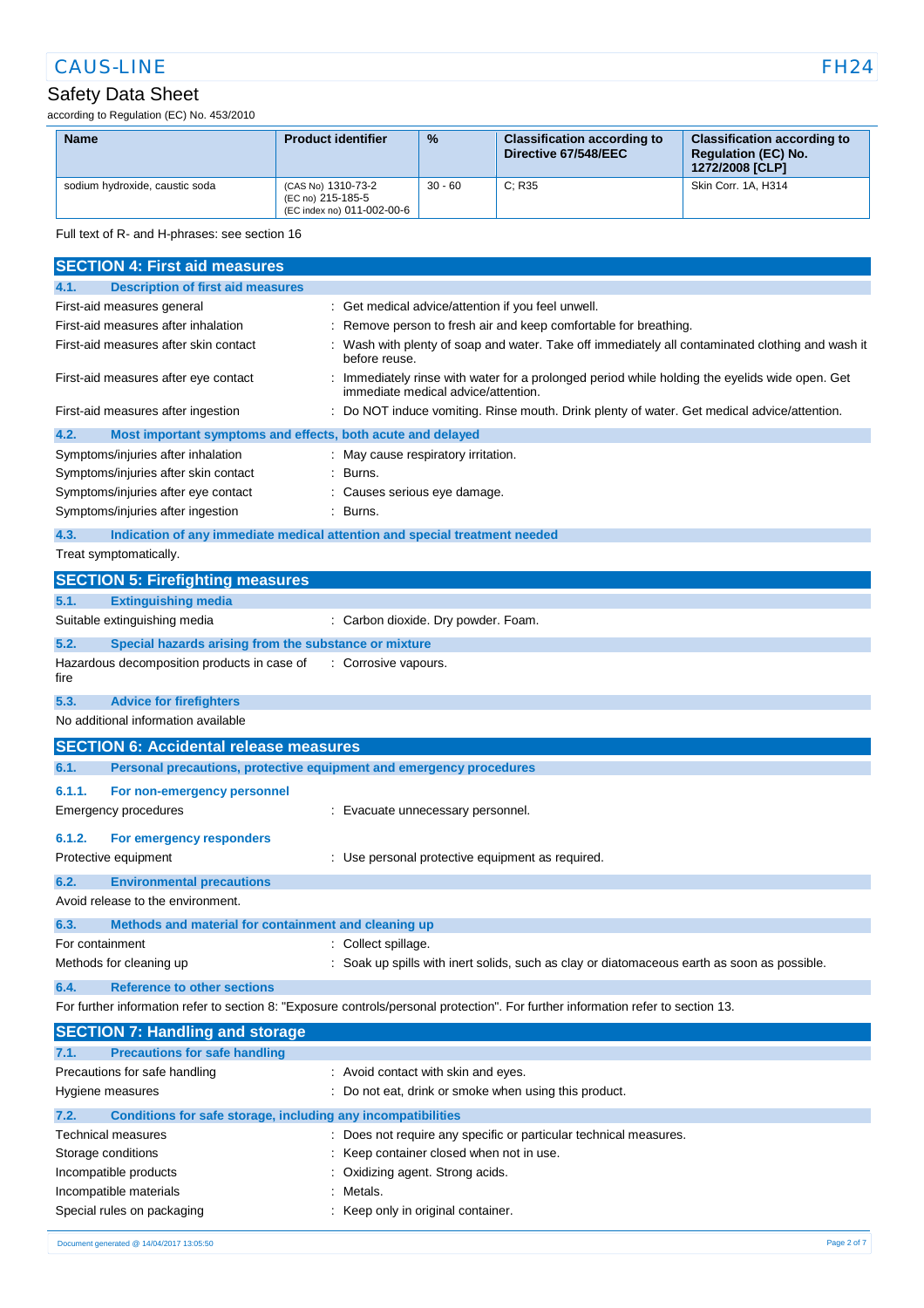## Safety Data Sheet

according to Regulation (EC) No. 453/2010

| <b>Name</b>                    | <b>Product identifier</b>                                             | $\frac{9}{6}$ | <b>Classification according to</b><br>Directive 67/548/EEC | <b>Classification according to</b><br><b>Requlation (EC) No.</b><br>1272/2008 [CLP] |
|--------------------------------|-----------------------------------------------------------------------|---------------|------------------------------------------------------------|-------------------------------------------------------------------------------------|
| sodium hydroxide, caustic soda | (CAS No) 1310-73-2<br>(EC no) 215-185-5<br>(EC index no) 011-002-00-6 | $30 - 60$     | C: R35                                                     | Skin Corr. 1A. H314                                                                 |

Full text of R- and H-phrases: see section 16

| <b>SECTION 4: First aid measures</b>                                                                                              |                                                                                                                                     |  |  |
|-----------------------------------------------------------------------------------------------------------------------------------|-------------------------------------------------------------------------------------------------------------------------------------|--|--|
| <b>Description of first aid measures</b><br>4.1.                                                                                  |                                                                                                                                     |  |  |
| First-aid measures general                                                                                                        | Get medical advice/attention if you feel unwell.                                                                                    |  |  |
| First-aid measures after inhalation                                                                                               | Remove person to fresh air and keep comfortable for breathing.                                                                      |  |  |
| First-aid measures after skin contact                                                                                             | Wash with plenty of soap and water. Take off immediately all contaminated clothing and wash it<br>before reuse.                     |  |  |
| First-aid measures after eye contact                                                                                              | Immediately rinse with water for a prolonged period while holding the eyelids wide open. Get<br>immediate medical advice/attention. |  |  |
| First-aid measures after ingestion                                                                                                | Do NOT induce vomiting. Rinse mouth. Drink plenty of water. Get medical advice/attention.                                           |  |  |
| 4.2.<br>Most important symptoms and effects, both acute and delayed                                                               |                                                                                                                                     |  |  |
| Symptoms/injuries after inhalation                                                                                                | May cause respiratory irritation.                                                                                                   |  |  |
| Symptoms/injuries after skin contact                                                                                              | Burns.                                                                                                                              |  |  |
| Symptoms/injuries after eye contact                                                                                               | Causes serious eye damage.                                                                                                          |  |  |
| Symptoms/injuries after ingestion                                                                                                 | Burns.                                                                                                                              |  |  |
| 4.3.                                                                                                                              | Indication of any immediate medical attention and special treatment needed                                                          |  |  |
| Treat symptomatically.                                                                                                            |                                                                                                                                     |  |  |
| <b>SECTION 5: Firefighting measures</b>                                                                                           |                                                                                                                                     |  |  |
| <b>Extinguishing media</b><br>5.1.                                                                                                |                                                                                                                                     |  |  |
| Suitable extinguishing media                                                                                                      | : Carbon dioxide. Dry powder. Foam.                                                                                                 |  |  |
| 5.2.<br>Special hazards arising from the substance or mixture                                                                     |                                                                                                                                     |  |  |
| Hazardous decomposition products in case of<br>fire                                                                               | : Corrosive vapours.                                                                                                                |  |  |
| 5.3.<br><b>Advice for firefighters</b>                                                                                            |                                                                                                                                     |  |  |
| No additional information available                                                                                               |                                                                                                                                     |  |  |
| <b>SECTION 6: Accidental release measures</b>                                                                                     |                                                                                                                                     |  |  |
| 6.1.                                                                                                                              | Personal precautions, protective equipment and emergency procedures                                                                 |  |  |
| 6.1.1.<br>For non-emergency personnel                                                                                             |                                                                                                                                     |  |  |
| Emergency procedures                                                                                                              | Evacuate unnecessary personnel.                                                                                                     |  |  |
| 6.1.2.<br>For emergency responders                                                                                                |                                                                                                                                     |  |  |
| Protective equipment                                                                                                              | Use personal protective equipment as required.                                                                                      |  |  |
| 6.2.<br><b>Environmental precautions</b>                                                                                          |                                                                                                                                     |  |  |
| Avoid release to the environment.                                                                                                 |                                                                                                                                     |  |  |
| 6.3.<br>Methods and material for containment and cleaning up                                                                      |                                                                                                                                     |  |  |
| For containment                                                                                                                   | Collect spillage.                                                                                                                   |  |  |
| Methods for cleaning up                                                                                                           | Soak up spills with inert solids, such as clay or diatomaceous earth as soon as possible.                                           |  |  |
| <b>Reference to other sections</b><br>6.4.                                                                                        |                                                                                                                                     |  |  |
| For further information refer to section 8: "Exposure controls/personal protection". For further information refer to section 13. |                                                                                                                                     |  |  |
| <b>SECTION 7: Handling and storage</b>                                                                                            |                                                                                                                                     |  |  |
| <b>Precautions for safe handling</b><br>7.1.                                                                                      |                                                                                                                                     |  |  |
| Precautions for safe handling                                                                                                     | Avoid contact with skin and eyes.                                                                                                   |  |  |
| Hygiene measures                                                                                                                  | Do not eat, drink or smoke when using this product.                                                                                 |  |  |
| Conditions for safe storage, including any incompatibilities<br>7.2.                                                              |                                                                                                                                     |  |  |
| Technical measures                                                                                                                | : Does not require any specific or particular technical measures.                                                                   |  |  |
| Storage conditions                                                                                                                | Keep container closed when not in use.                                                                                              |  |  |
| Incompatible products                                                                                                             | Oxidizing agent. Strong acids.                                                                                                      |  |  |
| Incompatible materials                                                                                                            | Metals.                                                                                                                             |  |  |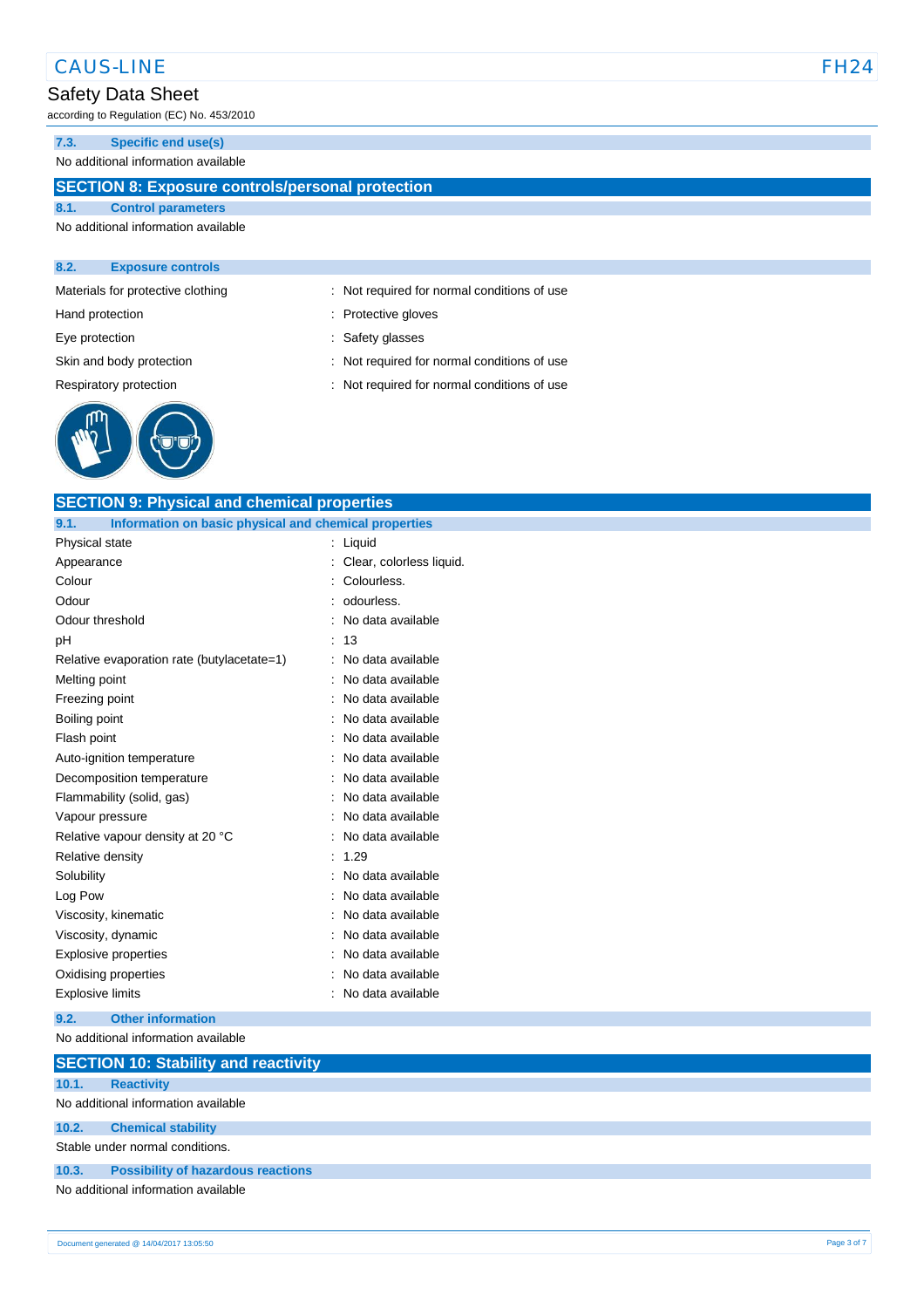#### Safety Data Sheet

according to Regulation (EC) No. 453/2010

#### **7.3. Specific end use(s)**

No additional information available

#### **SECTION 8: Exposure controls/personal protection**

#### **8.1. Control parameters** No additional information available

#### **8.2. Exposure controls**



Materials for protective clothing : Not required for normal conditions of use

- Hand protection **in the contract of the Contract Servers** of Protective gloves
- Eye protection  $\qquad \qquad$ : Safety glasses
- Skin and body protection : Not required for normal conditions of use
- Respiratory protection : Not required for normal conditions of use

| <b>SECTION 9: Physical and chemical properties</b><br>9.1.<br>Information on basic physical and chemical properties |                          |
|---------------------------------------------------------------------------------------------------------------------|--------------------------|
| Physical state                                                                                                      | $:$ Liquid               |
| Appearance                                                                                                          | Clear, colorless liquid. |
| Colour                                                                                                              | Colourless.              |
| Odour                                                                                                               | odourless.               |
| Odour threshold                                                                                                     | : No data available      |
| pH                                                                                                                  | 13                       |
| Relative evaporation rate (butylacetate=1)                                                                          | : No data available      |
| Melting point                                                                                                       | No data available        |
| Freezing point                                                                                                      | : No data available      |
| Boiling point                                                                                                       | No data available        |
| Flash point                                                                                                         | No data available        |
| Auto-ignition temperature                                                                                           | No data available        |
| Decomposition temperature                                                                                           | No data available        |
| Flammability (solid, gas)                                                                                           | No data available        |
| Vapour pressure                                                                                                     | No data available        |
| Relative vapour density at 20 °C                                                                                    | No data available        |
| Relative density                                                                                                    | 1.29                     |
| Solubility                                                                                                          | No data available        |
| Log Pow                                                                                                             | No data available        |
| Viscosity, kinematic                                                                                                | No data available        |
| Viscosity, dynamic                                                                                                  | No data available        |
| Explosive properties                                                                                                | No data available        |
| Oxidising properties                                                                                                | No data available        |
| <b>Explosive limits</b>                                                                                             | No data available        |

No additional information available

|       | <b>SECTION 10: Stability and reactivity</b> |
|-------|---------------------------------------------|
| 10.1. | <b>Reactivity</b>                           |
|       | No additional information available         |
| 10.2. | <b>Chemical stability</b>                   |
|       | Stable under normal conditions.             |
| 10.3. | <b>Possibility of hazardous reactions</b>   |
|       | No additional information available         |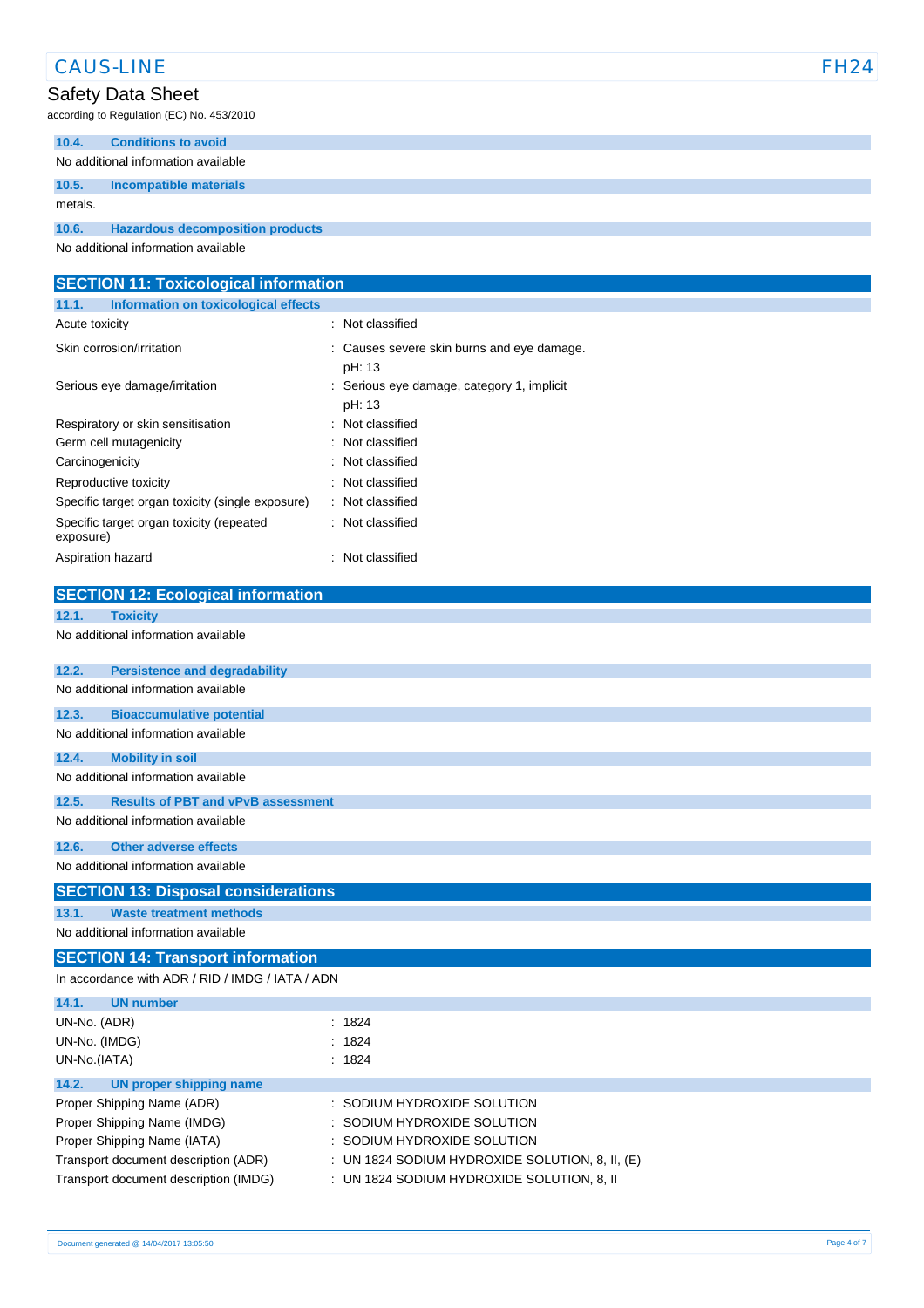| <b>CAUS-LINE</b>                                                                                     |                                                        | <b>FH24</b> |
|------------------------------------------------------------------------------------------------------|--------------------------------------------------------|-------------|
| Safety Data Sheet                                                                                    |                                                        |             |
| according to Regulation (EC) No. 453/2010                                                            |                                                        |             |
| 10.4.<br><b>Conditions to avoid</b>                                                                  |                                                        |             |
| No additional information available                                                                  |                                                        |             |
| <b>Incompatible materials</b><br>10.5.                                                               |                                                        |             |
| metals.                                                                                              |                                                        |             |
| <b>Hazardous decomposition products</b><br>10.6.                                                     |                                                        |             |
| No additional information available                                                                  |                                                        |             |
|                                                                                                      |                                                        |             |
| <b>SECTION 11: Toxicological information</b><br>11.1.<br><b>Information on toxicological effects</b> |                                                        |             |
| Acute toxicity                                                                                       | : Not classified                                       |             |
| Skin corrosion/irritation                                                                            |                                                        |             |
|                                                                                                      | Causes severe skin burns and eye damage.<br>pH: 13     |             |
| Serious eye damage/irritation                                                                        | Serious eye damage, category 1, implicit               |             |
|                                                                                                      | pH: 13                                                 |             |
| Respiratory or skin sensitisation                                                                    | Not classified                                         |             |
| Germ cell mutagenicity                                                                               | Not classified                                         |             |
| Carcinogenicity                                                                                      | Not classified                                         |             |
| Reproductive toxicity                                                                                | Not classified                                         |             |
| Specific target organ toxicity (single exposure)                                                     | Not classified                                         |             |
| Specific target organ toxicity (repeated<br>exposure)                                                | : Not classified                                       |             |
| Aspiration hazard                                                                                    | : Not classified                                       |             |
|                                                                                                      |                                                        |             |
| <b>SECTION 12: Ecological information</b>                                                            |                                                        |             |
| 12.1.<br><b>Toxicity</b>                                                                             |                                                        |             |
| No additional information available                                                                  |                                                        |             |
| 12.2.<br><b>Persistence and degradability</b>                                                        |                                                        |             |
| No additional information available                                                                  |                                                        |             |
| 12.3.<br><b>Bioaccumulative potential</b>                                                            |                                                        |             |
| No additional information available                                                                  |                                                        |             |
| <b>Mobility in soil</b>                                                                              |                                                        |             |
| 12.4.<br>No additional information available                                                         |                                                        |             |
| <b>Results of PBT and vPvB assessment</b>                                                            |                                                        |             |
| 12.5.<br>No additional information available                                                         |                                                        |             |
|                                                                                                      |                                                        |             |
| 12.6.<br><b>Other adverse effects</b>                                                                |                                                        |             |
| No additional information available                                                                  |                                                        |             |
| <b>SECTION 13: Disposal considerations</b>                                                           |                                                        |             |
| 13.1.<br><b>Waste treatment methods</b>                                                              |                                                        |             |
| No additional information available                                                                  |                                                        |             |
| <b>SECTION 14: Transport information</b>                                                             |                                                        |             |
| In accordance with ADR / RID / IMDG / IATA / ADN                                                     |                                                        |             |
| 14.1.<br><b>UN number</b>                                                                            |                                                        |             |
| UN-No. (ADR)                                                                                         | : 1824                                                 |             |
| UN-No. (IMDG)                                                                                        | : 1824                                                 |             |
| UN-No.(IATA)                                                                                         | : 1824                                                 |             |
| 14.2.<br><b>UN proper shipping name</b>                                                              |                                                        |             |
| Proper Shipping Name (ADR)                                                                           | SODIUM HYDROXIDE SOLUTION                              |             |
| Proper Shipping Name (IMDG)<br>Proper Shipping Name (IATA)                                           | SODIUM HYDROXIDE SOLUTION<br>SODIUM HYDROXIDE SOLUTION |             |
| Transport document description (ADR)                                                                 | UN 1824 SODIUM HYDROXIDE SOLUTION, 8, II, (E)          |             |
| Transport document description (IMDG)                                                                | : UN 1824 SODIUM HYDROXIDE SOLUTION, 8, II             |             |
|                                                                                                      |                                                        |             |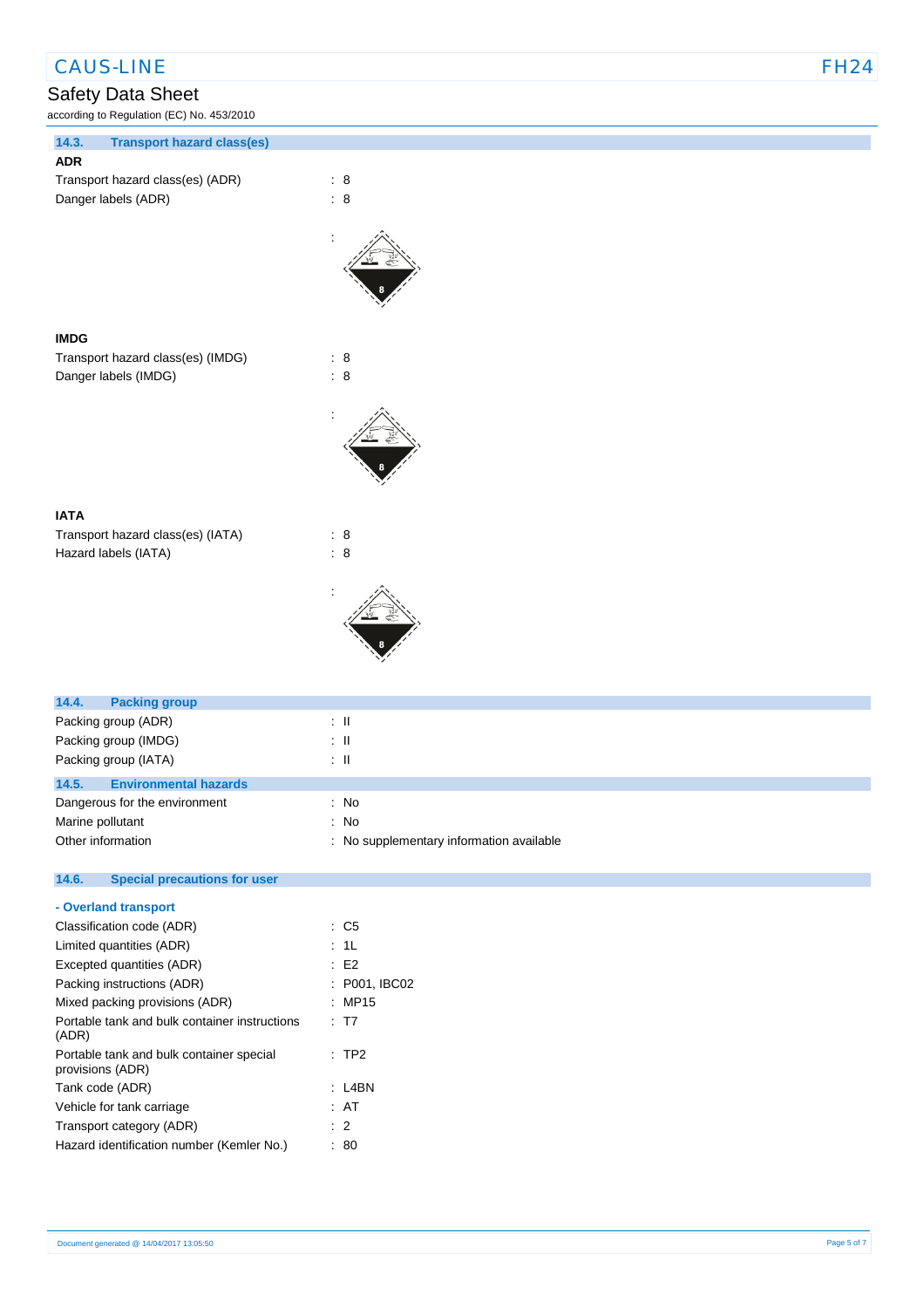# Safety Data Sheet<br> **According to Regulation (EC) No**

according to Regulation (EC) No. 453/2010

| ccording to Regulation (EC) No. 453/2010   |                |  |
|--------------------------------------------|----------------|--|
| 14.3.<br><b>Transport hazard class(es)</b> |                |  |
| <b>ADR</b>                                 |                |  |
| Transport hazard class(es) (ADR)           | $\therefore$ 8 |  |
| Danger labels (ADR)                        | : 8            |  |
|                                            |                |  |
| <b>IMDG</b>                                |                |  |
| Transport hazard class(es) (IMDG)          | : 8            |  |
| Danger labels (IMDG)                       | : 8            |  |
|                                            |                |  |
| <b>IATA</b>                                |                |  |
| Transport hazard class(es) (IATA)          | : 8            |  |
| Hazard labels (IATA)                       | : 8            |  |
|                                            |                |  |

| 14.4.<br><b>Packing group</b>         |                                          |
|---------------------------------------|------------------------------------------|
| Packing group (ADR)                   | : IL                                     |
| Packing group (IMDG)                  | : IL                                     |
| Packing group (IATA)                  | : IL                                     |
| 14.5.<br><b>Environmental hazards</b> |                                          |
| Dangerous for the environment         | : No                                     |
| Marine pollutant                      | : No                                     |
| Other information                     | : No supplementary information available |
|                                       |                                          |

#### **14.6. Special precautions for user**

| - Overland transport                                         |               |
|--------------------------------------------------------------|---------------|
| Classification code (ADR)                                    | : C5          |
| Limited quantities (ADR)                                     | : 1L          |
| Excepted quantities (ADR)                                    | : E2          |
| Packing instructions (ADR)                                   | : P001, IBC02 |
| Mixed packing provisions (ADR)                               | : MP15        |
| Portable tank and bulk container instructions<br>(ADR)       | : T7          |
| Portable tank and bulk container special<br>provisions (ADR) | $:$ TP2       |
| Tank code (ADR)                                              | :I 4BN        |
| Vehicle for tank carriage                                    | : AT          |
| Transport category (ADR)                                     | $\cdot$ 2     |
| Hazard identification number (Kemler No.)                    | 80            |
|                                                              |               |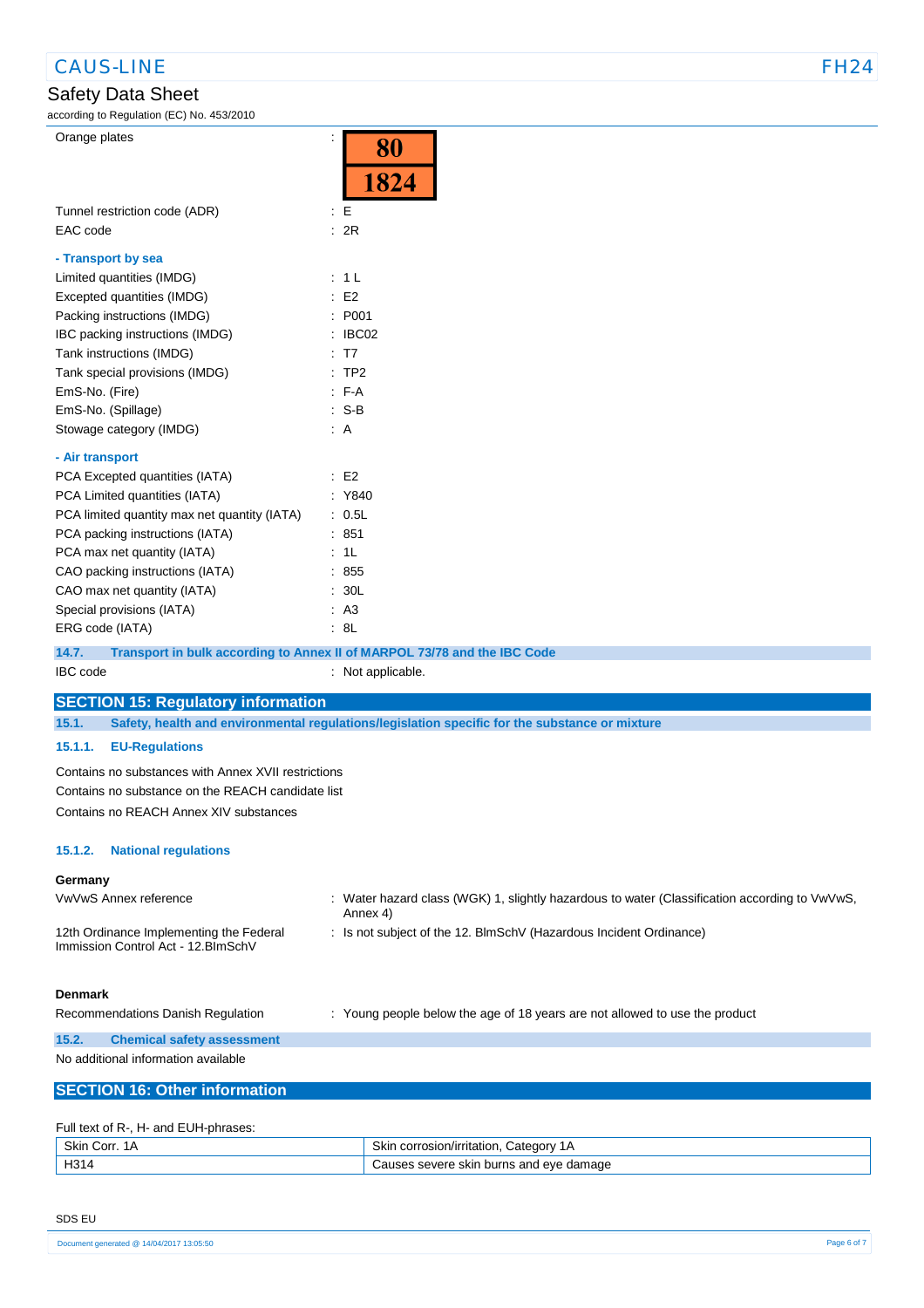## Safety Data Sheet

|  | <b>STEP</b> |  |
|--|-------------|--|

| according to Regulation (EC) No. 453/2010                                         |                                                                                                |  |  |  |
|-----------------------------------------------------------------------------------|------------------------------------------------------------------------------------------------|--|--|--|
| Orange plates<br>÷                                                                |                                                                                                |  |  |  |
|                                                                                   | 80                                                                                             |  |  |  |
|                                                                                   | 1824                                                                                           |  |  |  |
|                                                                                   |                                                                                                |  |  |  |
| Tunnel restriction code (ADR)                                                     | $\cdot$ E                                                                                      |  |  |  |
| EAC code                                                                          | : 2R                                                                                           |  |  |  |
| - Transport by sea                                                                |                                                                                                |  |  |  |
| Limited quantities (IMDG)                                                         | : 1L                                                                                           |  |  |  |
| Excepted quantities (IMDG)                                                        | E2                                                                                             |  |  |  |
| Packing instructions (IMDG)                                                       | : P001                                                                                         |  |  |  |
| IBC packing instructions (IMDG)                                                   | $\therefore$ IBC02                                                                             |  |  |  |
| Tank instructions (IMDG)                                                          | : T7                                                                                           |  |  |  |
| Tank special provisions (IMDG)                                                    | $:$ TP2                                                                                        |  |  |  |
| EmS-No. (Fire)                                                                    | $: F-A$                                                                                        |  |  |  |
| EmS-No. (Spillage)                                                                | $: S-B$                                                                                        |  |  |  |
| Stowage category (IMDG)                                                           | AA                                                                                             |  |  |  |
|                                                                                   |                                                                                                |  |  |  |
| - Air transport                                                                   |                                                                                                |  |  |  |
| PCA Excepted quantities (IATA)                                                    | $\therefore$ E2                                                                                |  |  |  |
| PCA Limited quantities (IATA)                                                     | : Y840                                                                                         |  |  |  |
| PCA limited quantity max net quantity (IATA)                                      | : 0.5L                                                                                         |  |  |  |
| PCA packing instructions (IATA)                                                   | : 851                                                                                          |  |  |  |
| PCA max net quantity (IATA)                                                       | : 1L                                                                                           |  |  |  |
| CAO packing instructions (IATA)                                                   | : 855                                                                                          |  |  |  |
| CAO max net quantity (IATA)                                                       | : 30L                                                                                          |  |  |  |
| Special provisions (IATA)                                                         | : A3<br>: 8L                                                                                   |  |  |  |
| ERG code (IATA)                                                                   |                                                                                                |  |  |  |
| Transport in bulk according to Annex II of MARPOL 73/78 and the IBC Code<br>14.7. |                                                                                                |  |  |  |
| IBC code                                                                          | : Not applicable.                                                                              |  |  |  |
| <b>SECTION 15: Regulatory information</b>                                         |                                                                                                |  |  |  |
| 15.1.                                                                             | Safety, health and environmental regulations/legislation specific for the substance or mixture |  |  |  |
| <b>EU-Regulations</b><br>15.1.1.                                                  |                                                                                                |  |  |  |
|                                                                                   |                                                                                                |  |  |  |
| Contains no substances with Annex XVII restrictions                               |                                                                                                |  |  |  |
| Contains no substance on the REACH candidate list                                 |                                                                                                |  |  |  |
| Contains no REACH Annex XIV substances                                            |                                                                                                |  |  |  |
|                                                                                   |                                                                                                |  |  |  |
| <b>National regulations</b><br>15.1.2.                                            |                                                                                                |  |  |  |
| Germany                                                                           |                                                                                                |  |  |  |
| VwVwS Annex reference                                                             | : Water hazard class (WGK) 1, slightly hazardous to water (Classification according to VwVwS,  |  |  |  |
|                                                                                   | Annex 4)                                                                                       |  |  |  |
| 12th Ordinance Implementing the Federal                                           | : Is not subject of the 12. BlmSchV (Hazardous Incident Ordinance)                             |  |  |  |
| Immission Control Act - 12. BlmSchV                                               |                                                                                                |  |  |  |
|                                                                                   |                                                                                                |  |  |  |
| <b>Denmark</b>                                                                    |                                                                                                |  |  |  |
| Recommendations Danish Regulation                                                 | : Young people below the age of 18 years are not allowed to use the product                    |  |  |  |
| 15.2.                                                                             |                                                                                                |  |  |  |
| <b>Chemical safety assessment</b><br>No additional information available          |                                                                                                |  |  |  |
|                                                                                   |                                                                                                |  |  |  |
| <b>SECTION 16: Other information</b>                                              |                                                                                                |  |  |  |
|                                                                                   |                                                                                                |  |  |  |
| Full text of R-, H- and EUH-phrases:                                              |                                                                                                |  |  |  |

| Skin C<br>Corr. 1A | Skin<br>Category<br>∟corrosion/irritation. |
|--------------------|--------------------------------------------|
| H314               | auses severe skin burns and eye damage.    |